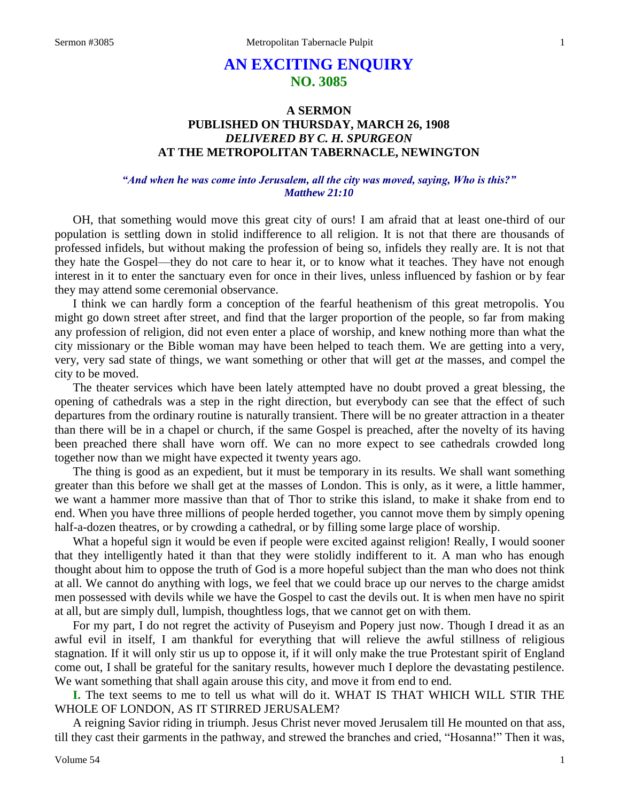# **AN EXCITING ENQUIRY NO. 3085**

# **A SERMON PUBLISHED ON THURSDAY, MARCH 26, 1908** *DELIVERED BY C. H. SPURGEON* **AT THE METROPOLITAN TABERNACLE, NEWINGTON**

# *"And when he was come into Jerusalem, all the city was moved, saying, Who is this?" Matthew 21:10*

OH, that something would move this great city of ours! I am afraid that at least one-third of our population is settling down in stolid indifference to all religion. It is not that there are thousands of professed infidels, but without making the profession of being so, infidels they really are. It is not that they hate the Gospel—they do not care to hear it, or to know what it teaches. They have not enough interest in it to enter the sanctuary even for once in their lives, unless influenced by fashion or by fear they may attend some ceremonial observance.

I think we can hardly form a conception of the fearful heathenism of this great metropolis. You might go down street after street, and find that the larger proportion of the people, so far from making any profession of religion, did not even enter a place of worship, and knew nothing more than what the city missionary or the Bible woman may have been helped to teach them. We are getting into a very, very, very sad state of things, we want something or other that will get *at* the masses, and compel the city to be moved.

The theater services which have been lately attempted have no doubt proved a great blessing, the opening of cathedrals was a step in the right direction, but everybody can see that the effect of such departures from the ordinary routine is naturally transient. There will be no greater attraction in a theater than there will be in a chapel or church, if the same Gospel is preached, after the novelty of its having been preached there shall have worn off. We can no more expect to see cathedrals crowded long together now than we might have expected it twenty years ago.

The thing is good as an expedient, but it must be temporary in its results. We shall want something greater than this before we shall get at the masses of London. This is only, as it were, a little hammer, we want a hammer more massive than that of Thor to strike this island, to make it shake from end to end. When you have three millions of people herded together, you cannot move them by simply opening half-a-dozen theatres, or by crowding a cathedral, or by filling some large place of worship.

What a hopeful sign it would be even if people were excited against religion! Really, I would sooner that they intelligently hated it than that they were stolidly indifferent to it. A man who has enough thought about him to oppose the truth of God is a more hopeful subject than the man who does not think at all. We cannot do anything with logs, we feel that we could brace up our nerves to the charge amidst men possessed with devils while we have the Gospel to cast the devils out. It is when men have no spirit at all, but are simply dull, lumpish, thoughtless logs, that we cannot get on with them.

For my part, I do not regret the activity of Puseyism and Popery just now. Though I dread it as an awful evil in itself, I am thankful for everything that will relieve the awful stillness of religious stagnation. If it will only stir us up to oppose it, if it will only make the true Protestant spirit of England come out, I shall be grateful for the sanitary results, however much I deplore the devastating pestilence. We want something that shall again arouse this city, and move it from end to end.

**I.** The text seems to me to tell us what will do it. WHAT IS THAT WHICH WILL STIR THE WHOLE OF LONDON, AS IT STIRRED JERUSALEM?

A reigning Savior riding in triumph. Jesus Christ never moved Jerusalem till He mounted on that ass, till they cast their garments in the pathway, and strewed the branches and cried, "Hosanna!" Then it was,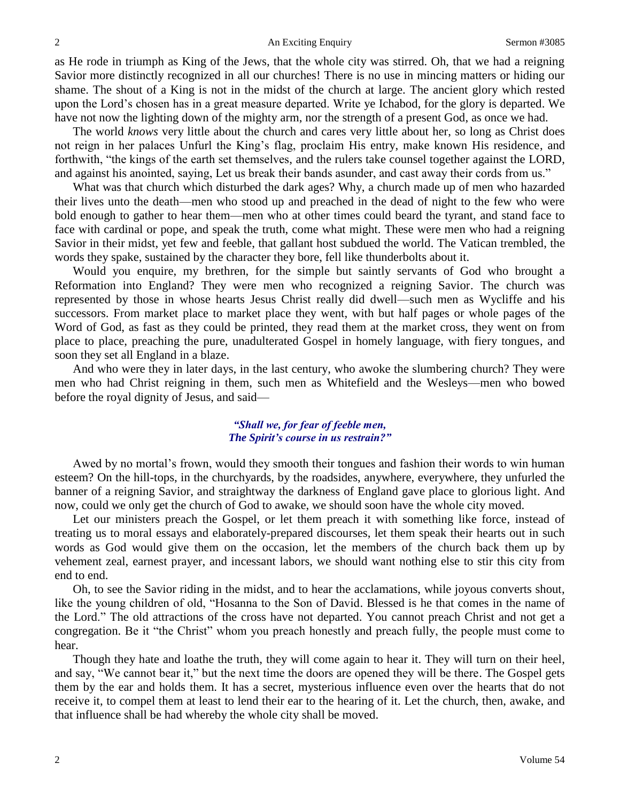#### 2 An Exciting Enquiry Sermon #3085

as He rode in triumph as King of the Jews, that the whole city was stirred. Oh, that we had a reigning Savior more distinctly recognized in all our churches! There is no use in mincing matters or hiding our shame. The shout of a King is not in the midst of the church at large. The ancient glory which rested upon the Lord's chosen has in a great measure departed. Write ye Ichabod, for the glory is departed. We have not now the lighting down of the mighty arm, nor the strength of a present God, as once we had.

The world *knows* very little about the church and cares very little about her, so long as Christ does not reign in her palaces Unfurl the King's flag, proclaim His entry, make known His residence, and forthwith, "the kings of the earth set themselves, and the rulers take counsel together against the LORD, and against his anointed, saying, Let us break their bands asunder, and cast away their cords from us."

What was that church which disturbed the dark ages? Why, a church made up of men who hazarded their lives unto the death—men who stood up and preached in the dead of night to the few who were bold enough to gather to hear them—men who at other times could beard the tyrant, and stand face to face with cardinal or pope, and speak the truth, come what might. These were men who had a reigning Savior in their midst, yet few and feeble, that gallant host subdued the world. The Vatican trembled, the words they spake, sustained by the character they bore, fell like thunderbolts about it.

Would you enquire, my brethren, for the simple but saintly servants of God who brought a Reformation into England? They were men who recognized a reigning Savior. The church was represented by those in whose hearts Jesus Christ really did dwell—such men as Wycliffe and his successors. From market place to market place they went, with but half pages or whole pages of the Word of God, as fast as they could be printed, they read them at the market cross, they went on from place to place, preaching the pure, unadulterated Gospel in homely language, with fiery tongues, and soon they set all England in a blaze.

And who were they in later days, in the last century, who awoke the slumbering church? They were men who had Christ reigning in them, such men as Whitefield and the Wesleys—men who bowed before the royal dignity of Jesus, and said—

## *"Shall we, for fear of feeble men, The Spirit's course in us restrain?"*

Awed by no mortal's frown, would they smooth their tongues and fashion their words to win human esteem? On the hill-tops, in the churchyards, by the roadsides, anywhere, everywhere, they unfurled the banner of a reigning Savior, and straightway the darkness of England gave place to glorious light. And now, could we only get the church of God to awake, we should soon have the whole city moved.

Let our ministers preach the Gospel, or let them preach it with something like force, instead of treating us to moral essays and elaborately-prepared discourses, let them speak their hearts out in such words as God would give them on the occasion, let the members of the church back them up by vehement zeal, earnest prayer, and incessant labors, we should want nothing else to stir this city from end to end.

Oh, to see the Savior riding in the midst, and to hear the acclamations, while joyous converts shout, like the young children of old, "Hosanna to the Son of David. Blessed is he that comes in the name of the Lord." The old attractions of the cross have not departed. You cannot preach Christ and not get a congregation. Be it "the Christ" whom you preach honestly and preach fully, the people must come to hear.

Though they hate and loathe the truth, they will come again to hear it. They will turn on their heel, and say, "We cannot bear it," but the next time the doors are opened they will be there. The Gospel gets them by the ear and holds them. It has a secret, mysterious influence even over the hearts that do not receive it, to compel them at least to lend their ear to the hearing of it. Let the church, then, awake, and that influence shall be had whereby the whole city shall be moved.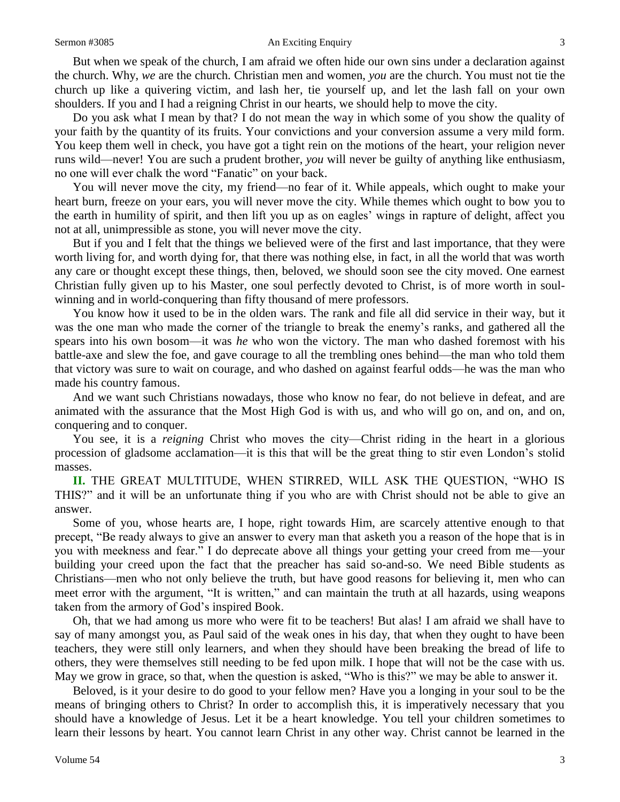#### Sermon #3085 **An Exciting Enquiry** 3

But when we speak of the church, I am afraid we often hide our own sins under a declaration against the church. Why, *we* are the church. Christian men and women, *you* are the church. You must not tie the church up like a quivering victim, and lash her, tie yourself up, and let the lash fall on your own shoulders. If you and I had a reigning Christ in our hearts, we should help to move the city.

Do you ask what I mean by that? I do not mean the way in which some of you show the quality of your faith by the quantity of its fruits. Your convictions and your conversion assume a very mild form. You keep them well in check, you have got a tight rein on the motions of the heart, your religion never runs wild—never! You are such a prudent brother, *you* will never be guilty of anything like enthusiasm, no one will ever chalk the word "Fanatic" on your back.

You will never move the city, my friend—no fear of it. While appeals, which ought to make your heart burn, freeze on your ears, you will never move the city. While themes which ought to bow you to the earth in humility of spirit, and then lift you up as on eagles' wings in rapture of delight, affect you not at all, unimpressible as stone, you will never move the city.

But if you and I felt that the things we believed were of the first and last importance, that they were worth living for, and worth dying for, that there was nothing else, in fact, in all the world that was worth any care or thought except these things, then, beloved, we should soon see the city moved. One earnest Christian fully given up to his Master, one soul perfectly devoted to Christ, is of more worth in soulwinning and in world-conquering than fifty thousand of mere professors.

You know how it used to be in the olden wars. The rank and file all did service in their way, but it was the one man who made the corner of the triangle to break the enemy's ranks, and gathered all the spears into his own bosom—it was *he* who won the victory. The man who dashed foremost with his battle-axe and slew the foe, and gave courage to all the trembling ones behind—the man who told them that victory was sure to wait on courage, and who dashed on against fearful odds—he was the man who made his country famous.

And we want such Christians nowadays, those who know no fear, do not believe in defeat, and are animated with the assurance that the Most High God is with us, and who will go on, and on, and on, conquering and to conquer.

You see, it is a *reigning* Christ who moves the city—Christ riding in the heart in a glorious procession of gladsome acclamation—it is this that will be the great thing to stir even London's stolid masses.

**II.** THE GREAT MULTITUDE, WHEN STIRRED, WILL ASK THE QUESTION, "WHO IS THIS?" and it will be an unfortunate thing if you who are with Christ should not be able to give an answer.

Some of you, whose hearts are, I hope, right towards Him, are scarcely attentive enough to that precept, "Be ready always to give an answer to every man that asketh you a reason of the hope that is in you with meekness and fear." I do deprecate above all things your getting your creed from me—your building your creed upon the fact that the preacher has said so-and-so. We need Bible students as Christians—men who not only believe the truth, but have good reasons for believing it, men who can meet error with the argument, "It is written," and can maintain the truth at all hazards, using weapons taken from the armory of God's inspired Book.

Oh, that we had among us more who were fit to be teachers! But alas! I am afraid we shall have to say of many amongst you, as Paul said of the weak ones in his day, that when they ought to have been teachers, they were still only learners, and when they should have been breaking the bread of life to others, they were themselves still needing to be fed upon milk. I hope that will not be the case with us. May we grow in grace, so that, when the question is asked, "Who is this?" we may be able to answer it.

Beloved, is it your desire to do good to your fellow men? Have you a longing in your soul to be the means of bringing others to Christ? In order to accomplish this, it is imperatively necessary that you should have a knowledge of Jesus. Let it be a heart knowledge. You tell your children sometimes to learn their lessons by heart. You cannot learn Christ in any other way. Christ cannot be learned in the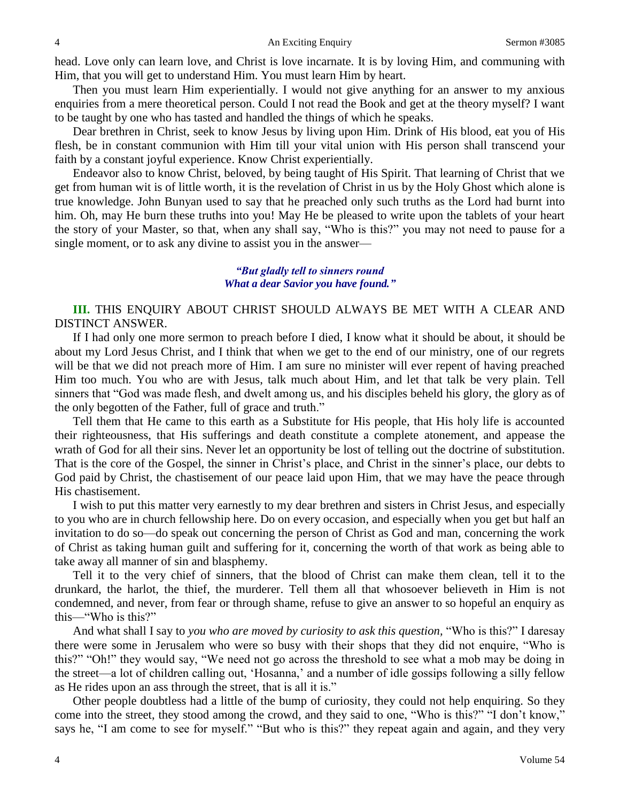head. Love only can learn love, and Christ is love incarnate. It is by loving Him, and communing with Him, that you will get to understand Him. You must learn Him by heart.

Then you must learn Him experientially. I would not give anything for an answer to my anxious enquiries from a mere theoretical person. Could I not read the Book and get at the theory myself? I want to be taught by one who has tasted and handled the things of which he speaks.

Dear brethren in Christ, seek to know Jesus by living upon Him. Drink of His blood, eat you of His flesh, be in constant communion with Him till your vital union with His person shall transcend your faith by a constant joyful experience. Know Christ experientially.

Endeavor also to know Christ, beloved, by being taught of His Spirit. That learning of Christ that we get from human wit is of little worth, it is the revelation of Christ in us by the Holy Ghost which alone is true knowledge. John Bunyan used to say that he preached only such truths as the Lord had burnt into him. Oh, may He burn these truths into you! May He be pleased to write upon the tablets of your heart the story of your Master, so that, when any shall say, "Who is this?" you may not need to pause for a single moment, or to ask any divine to assist you in the answer—

### *"But gladly tell to sinners round What a dear Savior you have found."*

**III.** THIS ENQUIRY ABOUT CHRIST SHOULD ALWAYS BE MET WITH A CLEAR AND DISTINCT ANSWER.

If I had only one more sermon to preach before I died, I know what it should be about, it should be about my Lord Jesus Christ, and I think that when we get to the end of our ministry, one of our regrets will be that we did not preach more of Him. I am sure no minister will ever repent of having preached Him too much. You who are with Jesus, talk much about Him, and let that talk be very plain. Tell sinners that "God was made flesh, and dwelt among us, and his disciples beheld his glory, the glory as of the only begotten of the Father, full of grace and truth."

Tell them that He came to this earth as a Substitute for His people, that His holy life is accounted their righteousness, that His sufferings and death constitute a complete atonement, and appease the wrath of God for all their sins. Never let an opportunity be lost of telling out the doctrine of substitution. That is the core of the Gospel, the sinner in Christ's place, and Christ in the sinner's place, our debts to God paid by Christ, the chastisement of our peace laid upon Him, that we may have the peace through His chastisement.

I wish to put this matter very earnestly to my dear brethren and sisters in Christ Jesus, and especially to you who are in church fellowship here. Do on every occasion, and especially when you get but half an invitation to do so—do speak out concerning the person of Christ as God and man, concerning the work of Christ as taking human guilt and suffering for it, concerning the worth of that work as being able to take away all manner of sin and blasphemy.

Tell it to the very chief of sinners, that the blood of Christ can make them clean, tell it to the drunkard, the harlot, the thief, the murderer. Tell them all that whosoever believeth in Him is not condemned, and never, from fear or through shame, refuse to give an answer to so hopeful an enquiry as this—"Who is this?"

And what shall I say to *you who are moved by curiosity to ask this question,* "Who is this?" I daresay there were some in Jerusalem who were so busy with their shops that they did not enquire, "Who is this?" "Oh!" they would say, "We need not go across the threshold to see what a mob may be doing in the street—a lot of children calling out, 'Hosanna,' and a number of idle gossips following a silly fellow as He rides upon an ass through the street, that is all it is."

Other people doubtless had a little of the bump of curiosity, they could not help enquiring. So they come into the street, they stood among the crowd, and they said to one, "Who is this?" "I don't know," says he, "I am come to see for myself." "But who is this?" they repeat again and again, and they very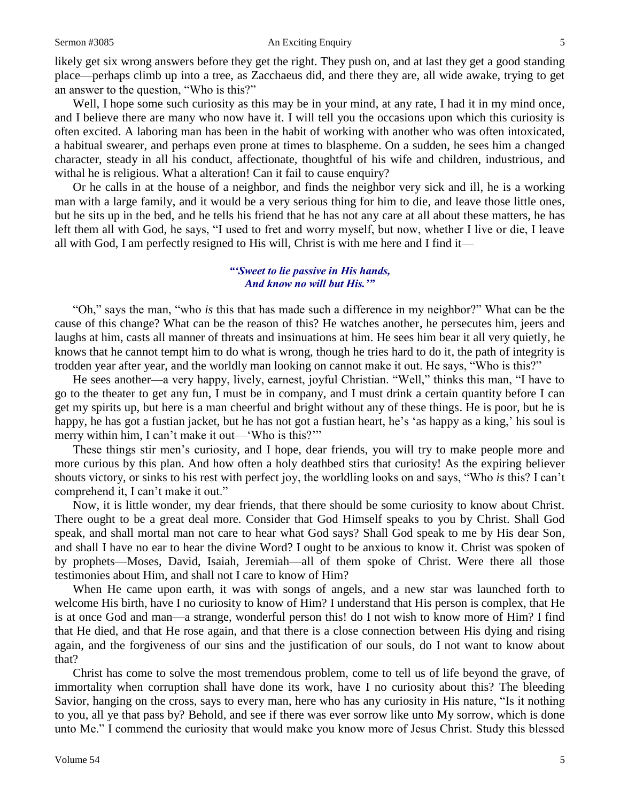#### Sermon #3085 **An Exciting Enquiry** 5

likely get six wrong answers before they get the right. They push on, and at last they get a good standing place—perhaps climb up into a tree, as Zacchaeus did, and there they are, all wide awake, trying to get an answer to the question, "Who is this?"

Well, I hope some such curiosity as this may be in your mind, at any rate, I had it in my mind once, and I believe there are many who now have it. I will tell you the occasions upon which this curiosity is often excited. A laboring man has been in the habit of working with another who was often intoxicated, a habitual swearer, and perhaps even prone at times to blaspheme. On a sudden, he sees him a changed character, steady in all his conduct, affectionate, thoughtful of his wife and children, industrious, and withal he is religious. What a alteration! Can it fail to cause enquiry?

Or he calls in at the house of a neighbor, and finds the neighbor very sick and ill, he is a working man with a large family, and it would be a very serious thing for him to die, and leave those little ones, but he sits up in the bed, and he tells his friend that he has not any care at all about these matters, he has left them all with God, he says, "I used to fret and worry myself, but now, whether I live or die, I leave all with God, I am perfectly resigned to His will, Christ is with me here and I find it—

## *"'Sweet to lie passive in His hands, And know no will but His.'"*

"Oh," says the man, "who *is* this that has made such a difference in my neighbor?" What can be the cause of this change? What can be the reason of this? He watches another, he persecutes him, jeers and laughs at him, casts all manner of threats and insinuations at him. He sees him bear it all very quietly, he knows that he cannot tempt him to do what is wrong, though he tries hard to do it, the path of integrity is trodden year after year, and the worldly man looking on cannot make it out. He says, "Who is this?"

He sees another—a very happy, lively, earnest, joyful Christian. "Well," thinks this man, "I have to go to the theater to get any fun, I must be in company, and I must drink a certain quantity before I can get my spirits up, but here is a man cheerful and bright without any of these things. He is poor, but he is happy, he has got a fustian jacket, but he has not got a fustian heart, he's 'as happy as a king,' his soul is merry within him, I can't make it out—'Who is this?'"

These things stir men's curiosity, and I hope, dear friends, you will try to make people more and more curious by this plan. And how often a holy deathbed stirs that curiosity! As the expiring believer shouts victory, or sinks to his rest with perfect joy, the worldling looks on and says, "Who *is* this? I can't comprehend it, I can't make it out."

Now, it is little wonder, my dear friends, that there should be some curiosity to know about Christ. There ought to be a great deal more. Consider that God Himself speaks to you by Christ. Shall God speak, and shall mortal man not care to hear what God says? Shall God speak to me by His dear Son, and shall I have no ear to hear the divine Word? I ought to be anxious to know it. Christ was spoken of by prophets—Moses, David, Isaiah, Jeremiah—all of them spoke of Christ. Were there all those testimonies about Him, and shall not I care to know of Him?

When He came upon earth, it was with songs of angels, and a new star was launched forth to welcome His birth, have I no curiosity to know of Him? I understand that His person is complex, that He is at once God and man—a strange, wonderful person this! do I not wish to know more of Him? I find that He died, and that He rose again, and that there is a close connection between His dying and rising again, and the forgiveness of our sins and the justification of our souls, do I not want to know about that?

Christ has come to solve the most tremendous problem, come to tell us of life beyond the grave, of immortality when corruption shall have done its work, have I no curiosity about this? The bleeding Savior, hanging on the cross, says to every man, here who has any curiosity in His nature, "Is it nothing to you, all ye that pass by? Behold, and see if there was ever sorrow like unto My sorrow, which is done unto Me." I commend the curiosity that would make you know more of Jesus Christ. Study this blessed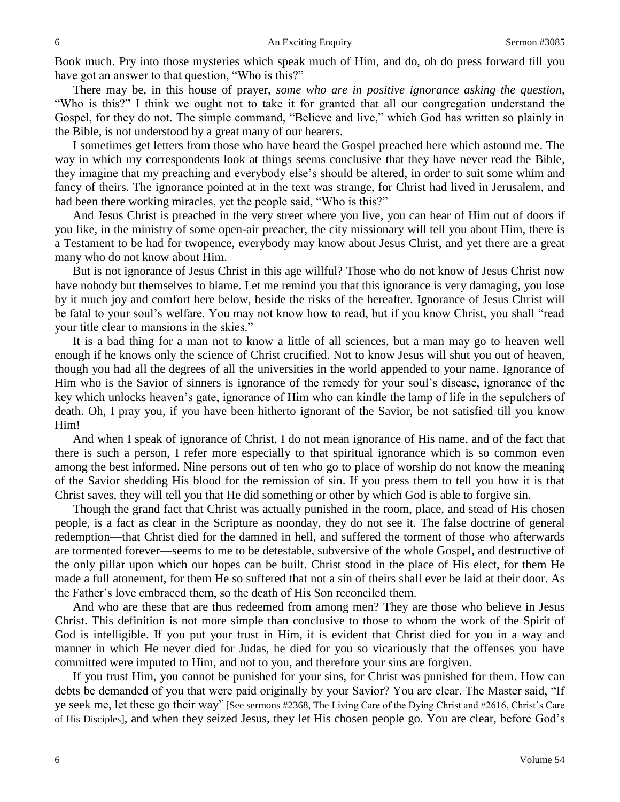Book much. Pry into those mysteries which speak much of Him, and do, oh do press forward till you have got an answer to that question, "Who is this?"

There may be, in this house of prayer, *some who are in positive ignorance asking the question,*  "Who is this?" I think we ought not to take it for granted that all our congregation understand the Gospel, for they do not. The simple command, "Believe and live," which God has written so plainly in the Bible, is not understood by a great many of our hearers.

I sometimes get letters from those who have heard the Gospel preached here which astound me. The way in which my correspondents look at things seems conclusive that they have never read the Bible, they imagine that my preaching and everybody else's should be altered, in order to suit some whim and fancy of theirs. The ignorance pointed at in the text was strange, for Christ had lived in Jerusalem, and had been there working miracles, yet the people said, "Who is this?"

And Jesus Christ is preached in the very street where you live, you can hear of Him out of doors if you like, in the ministry of some open-air preacher, the city missionary will tell you about Him, there is a Testament to be had for twopence, everybody may know about Jesus Christ, and yet there are a great many who do not know about Him.

But is not ignorance of Jesus Christ in this age willful? Those who do not know of Jesus Christ now have nobody but themselves to blame. Let me remind you that this ignorance is very damaging, you lose by it much joy and comfort here below, beside the risks of the hereafter. Ignorance of Jesus Christ will be fatal to your soul's welfare. You may not know how to read, but if you know Christ, you shall "read your title clear to mansions in the skies."

It is a bad thing for a man not to know a little of all sciences, but a man may go to heaven well enough if he knows only the science of Christ crucified. Not to know Jesus will shut you out of heaven, though you had all the degrees of all the universities in the world appended to your name. Ignorance of Him who is the Savior of sinners is ignorance of the remedy for your soul's disease, ignorance of the key which unlocks heaven's gate, ignorance of Him who can kindle the lamp of life in the sepulchers of death. Oh, I pray you, if you have been hitherto ignorant of the Savior, be not satisfied till you know Him!

And when I speak of ignorance of Christ, I do not mean ignorance of His name, and of the fact that there is such a person, I refer more especially to that spiritual ignorance which is so common even among the best informed. Nine persons out of ten who go to place of worship do not know the meaning of the Savior shedding His blood for the remission of sin. If you press them to tell you how it is that Christ saves, they will tell you that He did something or other by which God is able to forgive sin.

Though the grand fact that Christ was actually punished in the room, place, and stead of His chosen people, is a fact as clear in the Scripture as noonday, they do not see it. The false doctrine of general redemption—that Christ died for the damned in hell, and suffered the torment of those who afterwards are tormented forever—seems to me to be detestable, subversive of the whole Gospel, and destructive of the only pillar upon which our hopes can be built. Christ stood in the place of His elect, for them He made a full atonement, for them He so suffered that not a sin of theirs shall ever be laid at their door. As the Father's love embraced them, so the death of His Son reconciled them.

And who are these that are thus redeemed from among men? They are those who believe in Jesus Christ. This definition is not more simple than conclusive to those to whom the work of the Spirit of God is intelligible. If you put your trust in Him, it is evident that Christ died for you in a way and manner in which He never died for Judas, he died for you so vicariously that the offenses you have committed were imputed to Him, and not to you, and therefore your sins are forgiven.

If you trust Him, you cannot be punished for your sins, for Christ was punished for them. How can debts be demanded of you that were paid originally by your Savior? You are clear. The Master said, "If ye seek me, let these go their way" [See sermons #2368, The Living Care of the Dying Christ and #2616, Christ's Care of His Disciples], and when they seized Jesus, they let His chosen people go. You are clear, before God's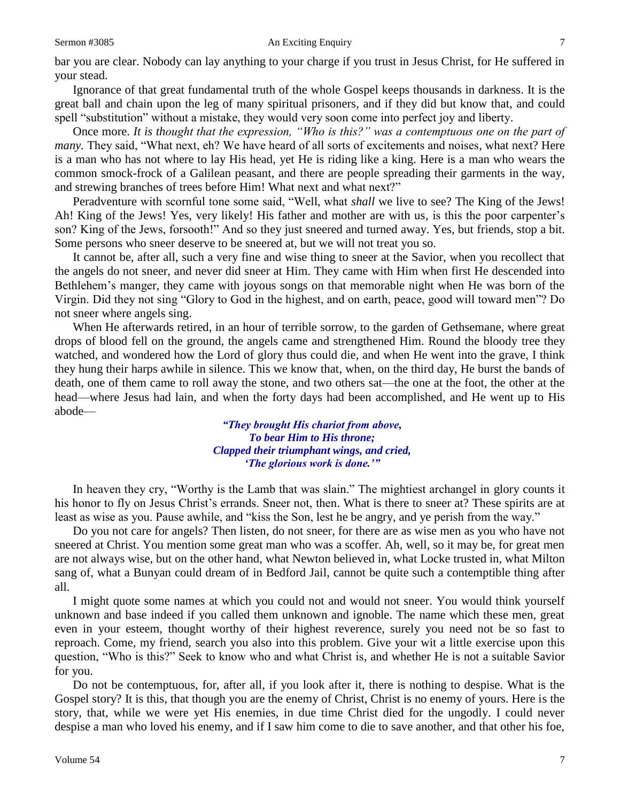#### Sermon #3085 **An Exciting Enquiry** 7

bar you are clear. Nobody can lay anything to your charge if you trust in Jesus Christ, for He suffered in your stead.

Ignorance of that great fundamental truth of the whole Gospel keeps thousands in darkness. It is the great ball and chain upon the leg of many spiritual prisoners, and if they did but know that, and could spell "substitution" without a mistake, they would very soon come into perfect joy and liberty.

Once more. *It is thought that the expression, "Who is this?" was a contemptuous one on the part of many.* They said, "What next, eh? We have heard of all sorts of excitements and noises, what next? Here is a man who has not where to lay His head, yet He is riding like a king. Here is a man who wears the common smock-frock of a Galilean peasant, and there are people spreading their garments in the way, and strewing branches of trees before Him! What next and what next?"

Peradventure with scornful tone some said, "Well, what *shall* we live to see? The King of the Jews! Ah! King of the Jews! Yes, very likely! His father and mother are with us, is this the poor carpenter's son? King of the Jews, forsooth!" And so they just sneered and turned away. Yes, but friends, stop a bit. Some persons who sneer deserve to be sneered at, but we will not treat you so.

It cannot be, after all, such a very fine and wise thing to sneer at the Savior, when you recollect that the angels do not sneer, and never did sneer at Him. They came with Him when first He descended into Bethlehem's manger, they came with joyous songs on that memorable night when He was born of the Virgin. Did they not sing "Glory to God in the highest, and on earth, peace, good will toward men"? Do not sneer where angels sing.

When He afterwards retired, in an hour of terrible sorrow, to the garden of Gethsemane, where great drops of blood fell on the ground, the angels came and strengthened Him. Round the bloody tree they watched, and wondered how the Lord of glory thus could die, and when He went into the grave, I think they hung their harps awhile in silence. This we know that, when, on the third day, He burst the bands of death, one of them came to roll away the stone, and two others sat—the one at the foot, the other at the head—where Jesus had lain, and when the forty days had been accomplished, and He went up to His abode—

> *"They brought His chariot from above, To bear Him to His throne; Clapped their triumphant wings, and cried, 'The glorious work is done.'"*

In heaven they cry, "Worthy is the Lamb that was slain." The mightiest archangel in glory counts it his honor to fly on Jesus Christ's errands. Sneer not, then. What is there to sneer at? These spirits are at least as wise as you. Pause awhile, and "kiss the Son, lest he be angry, and ye perish from the way."

Do you not care for angels? Then listen, do not sneer, for there are as wise men as you who have not sneered at Christ. You mention some great man who was a scoffer. Ah, well, so it may be, for great men are not always wise, but on the other hand, what Newton believed in, what Locke trusted in, what Milton sang of, what a Bunyan could dream of in Bedford Jail, cannot be quite such a contemptible thing after all.

I might quote some names at which you could not and would not sneer. You would think yourself unknown and base indeed if you called them unknown and ignoble. The name which these men, great even in your esteem, thought worthy of their highest reverence, surely you need not be so fast to reproach. Come, my friend, search you also into this problem. Give your wit a little exercise upon this question, "Who is this?" Seek to know who and what Christ is, and whether He is not a suitable Savior for you.

Do not be contemptuous, for, after all, if you look after it, there is nothing to despise. What is the Gospel story? It is this, that though you are the enemy of Christ, Christ is no enemy of yours. Here is the story, that, while we were yet His enemies, in due time Christ died for the ungodly. I could never despise a man who loved his enemy, and if I saw him come to die to save another, and that other his foe,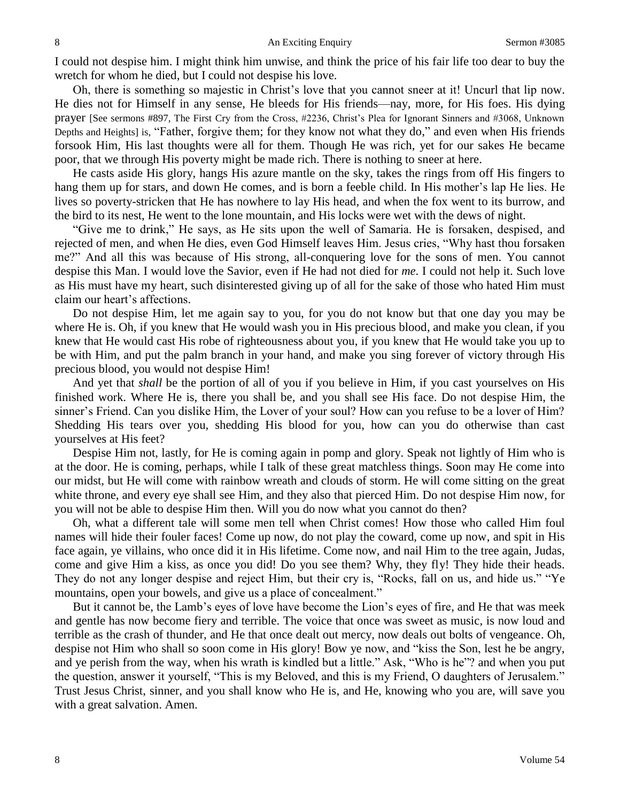I could not despise him. I might think him unwise, and think the price of his fair life too dear to buy the wretch for whom he died, but I could not despise his love.

Oh, there is something so majestic in Christ's love that you cannot sneer at it! Uncurl that lip now. He dies not for Himself in any sense, He bleeds for His friends—nay, more, for His foes. His dying prayer [See sermons #897, The First Cry from the Cross, #2236, Christ's Plea for Ignorant Sinners and #3068, Unknown Depths and Heights] is, "Father, forgive them; for they know not what they do," and even when His friends forsook Him, His last thoughts were all for them. Though He was rich, yet for our sakes He became poor, that we through His poverty might be made rich. There is nothing to sneer at here.

He casts aside His glory, hangs His azure mantle on the sky, takes the rings from off His fingers to hang them up for stars, and down He comes, and is born a feeble child. In His mother's lap He lies. He lives so poverty-stricken that He has nowhere to lay His head, and when the fox went to its burrow, and the bird to its nest, He went to the lone mountain, and His locks were wet with the dews of night.

"Give me to drink," He says, as He sits upon the well of Samaria. He is forsaken, despised, and rejected of men, and when He dies, even God Himself leaves Him. Jesus cries, "Why hast thou forsaken me?" And all this was because of His strong, all-conquering love for the sons of men. You cannot despise this Man. I would love the Savior, even if He had not died for *me*. I could not help it. Such love as His must have my heart, such disinterested giving up of all for the sake of those who hated Him must claim our heart's affections.

Do not despise Him, let me again say to you, for you do not know but that one day you may be where He is. Oh, if you knew that He would wash you in His precious blood, and make you clean, if you knew that He would cast His robe of righteousness about you, if you knew that He would take you up to be with Him, and put the palm branch in your hand, and make you sing forever of victory through His precious blood, you would not despise Him!

And yet that *shall* be the portion of all of you if you believe in Him, if you cast yourselves on His finished work. Where He is, there you shall be, and you shall see His face. Do not despise Him, the sinner's Friend. Can you dislike Him, the Lover of your soul? How can you refuse to be a lover of Him? Shedding His tears over you, shedding His blood for you, how can you do otherwise than cast yourselves at His feet?

Despise Him not, lastly, for He is coming again in pomp and glory. Speak not lightly of Him who is at the door. He is coming, perhaps, while I talk of these great matchless things. Soon may He come into our midst, but He will come with rainbow wreath and clouds of storm. He will come sitting on the great white throne, and every eye shall see Him, and they also that pierced Him. Do not despise Him now, for you will not be able to despise Him then. Will you do now what you cannot do then?

Oh, what a different tale will some men tell when Christ comes! How those who called Him foul names will hide their fouler faces! Come up now, do not play the coward, come up now, and spit in His face again, ye villains, who once did it in His lifetime. Come now, and nail Him to the tree again, Judas, come and give Him a kiss, as once you did! Do you see them? Why, they fly! They hide their heads. They do not any longer despise and reject Him, but their cry is, "Rocks, fall on us, and hide us." "Ye mountains, open your bowels, and give us a place of concealment."

But it cannot be, the Lamb's eyes of love have become the Lion's eyes of fire, and He that was meek and gentle has now become fiery and terrible. The voice that once was sweet as music, is now loud and terrible as the crash of thunder, and He that once dealt out mercy, now deals out bolts of vengeance. Oh, despise not Him who shall so soon come in His glory! Bow ye now, and "kiss the Son, lest he be angry, and ye perish from the way, when his wrath is kindled but a little." Ask, "Who is he"? and when you put the question, answer it yourself, "This is my Beloved, and this is my Friend, O daughters of Jerusalem." Trust Jesus Christ, sinner, and you shall know who He is, and He, knowing who you are, will save you with a great salvation. Amen.